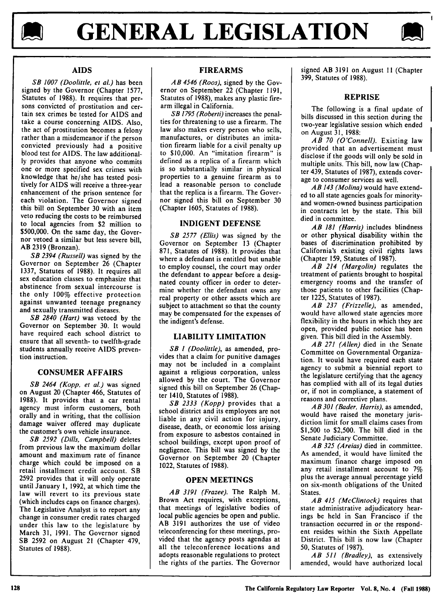



## **AIDS**

*SB 1007 (Doolittle, et al.)* has been signed by the Governor (Chapter 1577, Statutes of 1988). It requires that persons convicted of prostitution and certain sex crimes be tested for AIDS and take a course concerning AIDS. Also, the act of prostitution becomes a felony rather than a misdemeanor if the person convicted previously had a positive blood test for AIDS. The law additionally provides that anyone who commits one or more specified sex crimes with knowledge that he/she has tested positively for AIDS will receive a three-year enhancement of the prison sentence for each violation. The Governor signed this bill on September 30 with an item veto reducing the costs to be reimbursed to local agencies from \$2 million to \$500,000. On the same day, the Governor vetoed a similar but less severe bill, AB 2319 (Bronzan).

*SB 2394 (Russell)* was signed by the Governor on September 26 (Chapter 1337, Statutes of 1988). It requires all sex education classes to emphasize that abstinence from sexual intercourse is the only 100% effective protection against unwanted teenage pregnancy and sexually transmitted diseases.

*SB 2840 (Hart)* was vetoed by the Governor on September 30. It would have required each school district to ensure that all seventh- to twelfth-grade students annually receive AIDS prevention instruction.

#### **CONSUMER** AFFAIRS

*SB 2464 (Kopp, et al.)* was signed on August 20 (Chapter 466, Statutes of 1988). It provides that a car rental agency must inform customers, both orally and in writing, that the collision damage waiver offered may duplicate the customer's own vehicle insurance.

*SB 2592* (Dills, Campbell) deletes from previous law the maximum dollar amount and maximum rate of finance charge which could be imposed on a retail installment credit account. SB 2592 provides that it will only operate until January 1, 1992, at which time the law will revert to its previous state (which includes caps on finance charges). The Legislative Analyst is to report any change in consumer credit rates charged under this law to the legislature by March 31, 1991. The Governor signed SB 2592 on August 21 (Chapter 479, Statutes of 1988).

## **FIREARMS**

*AB 4546 (Roos),* signed **by** the Governor on September 22 (Chapter **1191,** Statutes of **1988),** makes any plastic firearm illegal in California.

*SB 1795 (Roberti)* increases the penalties for threatening to use a firearm. The law also makes every person who sells, manufactures, or distributes an imitation firearm liable for a civil penalty up to **\$10,000.** An "imitation firearm" is defined as a replica of a firearm which is so substantially similar in physical properties to a genuine firearm as to lead a reasonable person to conclude that the replica is a firearm. The Governor signed this bill on September **30** (Chapter **1605,** Statutes of **1988).**

### **INDIGENT DEFENSE**

*SB 2577 (Ellis)* was signed **by** the Governor on September **13** (Chapter **871,** Statutes of **1988).** It provides that where a defendant is entitled but unable to employ counsel, the court may order the defendant to appear before a designated county officer in order to determine whether the defendant owns any real property or other assets which are subject to attachment so that the county may be compensated for the expenses of the indigent's defense.

## **LIABILITY LIMITATION**

*SB I (Doolittle),* as amended, provides that a claim for punitive damages may not be included in a complaint against a religious corporation, unless allowed **by** the court. The Governor signed this bill on September **26** (Chapter 1410, Statutes of **1988).**

*SB 2333 (Kopp)* provides that a school district and its employees are not liable in any civil action for injury, disease, death, or economic loss arising from exposure to asbestos contained in school buildings, except upon proof of negligence. This bill was signed by the Governor on September 20 (Chapter 1022, Statutes of 1988).

#### **OPEN MEETINGS**

*AB 3191 (Frazee).* The Ralph M. Brown Act requires, with exceptions, that meetings of legislative bodies of local public agencies be open and public. AB 3191 authorizes the use of video teleconferencing for these meetings, provided that the agency posts agendas at all the teleconference locations and adopts reasonable regulations to protect the rights of the parties. The Governor

signed AB 3191 on August **II** (Chapter 399, Statutes of 1988).

#### **REPRISE**

The following is a final update of bills discussed in this section during the two-year legislative session which ended on August 31, 1988:

*AB 70 (O'Connell).* Existing law provided that an advertisement must disclose if the goods will only be sold in multiple units. This bill, now law (Chapter 439, Statutes of 1987), extends coverage to consumer services as well.

*AB 143 (Molina)* would have extended to all state agencies goals for minorityand women-owned business participation in contracts let by the state. This bill died in committee.

*AB 181 (Harris)* includes blindness or other physical disability within the bases of discrimination prohibited by California's existing civil rights laws (Chapter 159, Statutes of 1987).

*AB 214 (Margolin)* regulates the treatment of patients brought to hospital emergency rooms and the transfer of those patients to other facilities (Chapter 1225, Statutes of 1987).

*AB 237* (Frizzelle), as amended, would have allowed state agencies more flexibility in the hours in which they are open, provided public notice has been given. This bill died in the Assembly.

*AB 271* (Allen) died in the Senate Committee on Governmental Organization. It would have required each state agency to submit a biennial report to the legislature certifying that the agency has complied with all of its legal duties or, if not in compliance, a statement of reasons and corrective plans.

*AB 301 (Bader, Harris),* as amended, would have raised the monetary jurisdiction limit for small claims cases from \$1,500 to \$2,500. The bill died in the Senate Judiciary Committee.

*AB 325 (Areias)* died in committee. As amended, it would have limited the maximum finance charge imposed on any retail installment account to **7%** plus the average annual percentage yield on six-month obligations of the United **States** 

*AB 415 (McClintock)* requires that state administrative adjudicatory hearings be held in San Francisco if the transaction occurred in or the respondent resides within the Sixth Appellate District. This bill is now law (Chapter 50, Statutes of 1987).

*AB 511 (Bradley),* as extensively amended, would have authorized local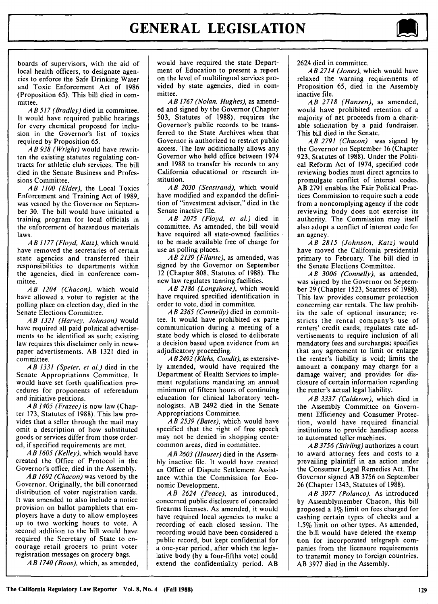# **GENERAL LEGISLATION**



boards of supervisors, with the aid of local health officers, to designate agencies to enforce the Safe Drinking Water and Toxic Enforcement Act of 1986 (Proposition 65). This bill died in committee.

*A B 517 (Bradley)* died in committee. It would have required public hearings for every chemical proposed for inclusion in the Governor's list of toxics required by Proposition 65.

*A B 938 (Wright)* would have rewritten the existing statutes regulating contracts for athletic club services. The bill died in the Senate Business and Professions Committee.

*AB 1100 (Elder),* the Local Toxics Enforcement and Training Act of 1989, was vetoed by the Governor on September 30. The bill would have initiated a training program for local officials in the enforcement of hazardous materials laws.

*AB 1177 (Floyd, Katz),* which would have removed the secretaries of certain state agencies and transferred their responsibilities to departments within the agencies, died in conference committee.

*AB 1204 (Chacon),* which would have allowed a voter to register at the polling place on election day, died in the Senate Elections Committee.

*AB 1321 (Harvey, Johnson)* would have required all paid political advertisements to be identified as such; existing law requires this disclaimer only in newspaper advertisements. AB 1321 died in committee.

*AB 1331 (Speier, et al.)* died in the Senate Appropriations Committee. It would have set forth qualification procedures for proponents of referendum and initiative petitions.

*A B 1405 (Frazee)* is now law (Chapter 173, Statutes of 1988). This law provides that a seller through the mail may omit a description of how substituted goods or services differ from those ordered, if specified requirements are met.

*AB 1605 (Kelley),* which would have created the Office of Protocol in the Governor's office, died in the Assembly.

*A B 1692 (Chacon)* was vetoed by the Governor. Originally, the bill concerned distribution of voter registration cards. It was amended to also include a notice provision on ballot pamphlets that employers have a duty to allow employees up to two working hours to vote. A second addition to the bill would have required the Secretary of State to encourage retail grocers to print voter registration messages on grocery bags.

*AB 1740 (Roos),* which, as amended,

would have required the state Department of Education to present a report on the level of multilingual services provided by state agencies, died in committee.

*A B 1767 (Nolan, Hughes),* as amended and signed by the Governor (Chapter 503, Statutes of 1988), requires the Governor's public records to be transferred to the State Archives when that Governor is authorized to restrict public access. The law additionally allows any Governor who held office between 1974 and 1988 to transfer his records to any California educational or research institution.

*AB 2030 (Seastrand),* which would have modified and expanded the definition of "investment adviser," died in the Senate inactive file.

*AB 2075 (Floyd, et al.)* died in committee. As amended, the bill would have required all state-owned facilities to be made available free of charge for use as polling places.

*AB 2139 (Filante),* as amended, was signed by the Governor on September 12 (Chapter 808, Statutes of 1988). The new law regulates tanning facilities.

*AB 2186 (Longshore),* which would have required specified identification in order to vote, died in committee.

*AB 2365 (Connelly)* died in committee. It would have prohibited ex parte communication during a meeting of a state body which is closed to deliberate a decision based upon evidence from an adjudicatory proceeding.

*A B 2492 (Klehs, Condit),* as extensively amended, would have required the Department of Health Services to implement regulations mandating an annual minimum of fifteen hours of continuing education for clinical laboratory technologists. AB 2492 died in the Senate Appropriations Committee.

*AB 2539 (Bates),* which would have specified that the right of free speech may not be denied in shopping center common areas, died in committee.

*AB 2603 (Hauser)* died in the Assembly inactive file. It would have created an Office of Dispute Settlement Assistance within the Commission for Economic Development.

*AB 2624 (Peace),* as introduced, concerned public disclosure of concealed firearms licenses. As amended, it would have required local agencies to make a recording of each closed session. The recording would have been considered a public record, but kept confidential for a one-year period, after which the legislative body (by a four-fifths vote) could extend the confidentiality period. AB

2624 died in committee.

*AB 2714 (Jones),* which would have relaxed the warning requirements of Proposition 65, died in the Assembly inactive file.

*AB 2718 (Hansen),* as amended, would have prohibited retention of a majority of net proceeds from a charitable solicitation by a paid fundraiser. This bill died in the Senate.

*AB 2791 (Chacon)* was signed by the Governor on September 16 (Chapter 923, Statutes of 1988). Under the Political Reform Act of 1974, specified code reviewing bodies must direct agencies to promulgate conflict of interest codes. AB 2791 enables the Fair Political Practices Commission to require such a code from a noncomplying agency if the code reviewing body does not exercise its authority. The Commission may itself also adopt a conflict of interest code for an agency.

*A B 2815 (Johnson, Katz)* would have moved the California presidential primary to February. The bill died in the Senate Elections Committee.

*A B 3006 (Connelly),* as amended, was signed by the Governor on September 29 (Chapter 1523, Statutes of 1988). This law provides consumer protection concerning car rentals. The law prohibits the sale of optional insurance; restricts the rental company's use of renters' credit cards; regulates rate advertisements to require inclusion of all mandatory fees and surcharges; specifies that any agreement to limit or enlarge the renter's liability is void; limits the amount a company may charge for a damage waiver; and provides for disclosure of certain information regarding the renter's actual legal liability.

*AB 3337 (Calderon),* which died in the Assembly Committee on Government Efficiency and Consumer Protection, would have required financial institutions to provide handicap access to automated teller machines.

*A B 3756 (Stirling)* authorizes a court to award attorney fees and costs to a prevailing plaintiff in an action under the Consumer Legal Remedies Act. The Governor signed AB 3756 on September 26 (Chapter 1343, Statutes of 1988).

*AB 3977 (Polanco).* As introduced by Assemblymember Chacon, this bill proposed a 1% limit on fees charged for cashing certain types of checks and a 1.5% limit on other types. As amended, the bill would have deleted the exemption for incorporated telegraph companies from the licensure requirements to transmit money to foreign countries. AB 3977 died in the Assembly.